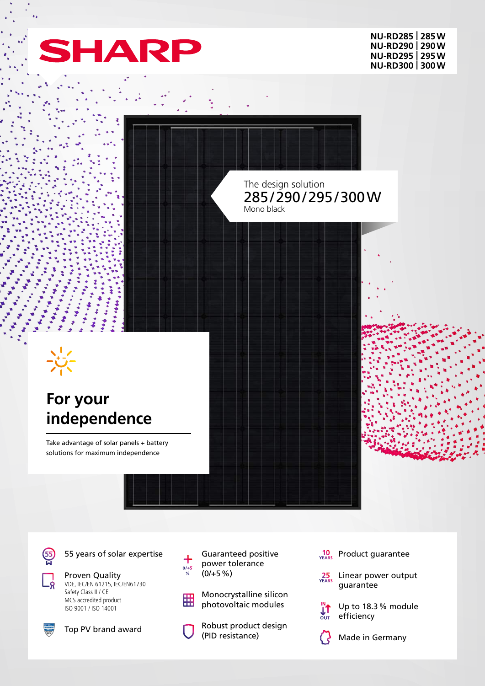

**NU-RD285 | 285W NU-RD290 | 290W NU-RD295 | 295W NU-RD300 | 300W**



(55

55 years of solar expertise

Proven Quality VDE, IEC/EN 61215, IEC/EN61730 Safety Class II / CE

MCS accredited product ISO 9001 / ISO 14001



Top PV brand award

Guaranteed positive power tolerance  $(0/+5%)$ 

 $rac{0}{2}$ 

Monocrystalline silicon 開 photovoltaic modules

> Robust product design (PID resistance)

 $\frac{10}{YEARS}$  Product guarantee

25 Linear power output guarantee

> Up to 18.3% module efficiency

 $\prod_{\text{OUT}}^M$ 

Made in Germany